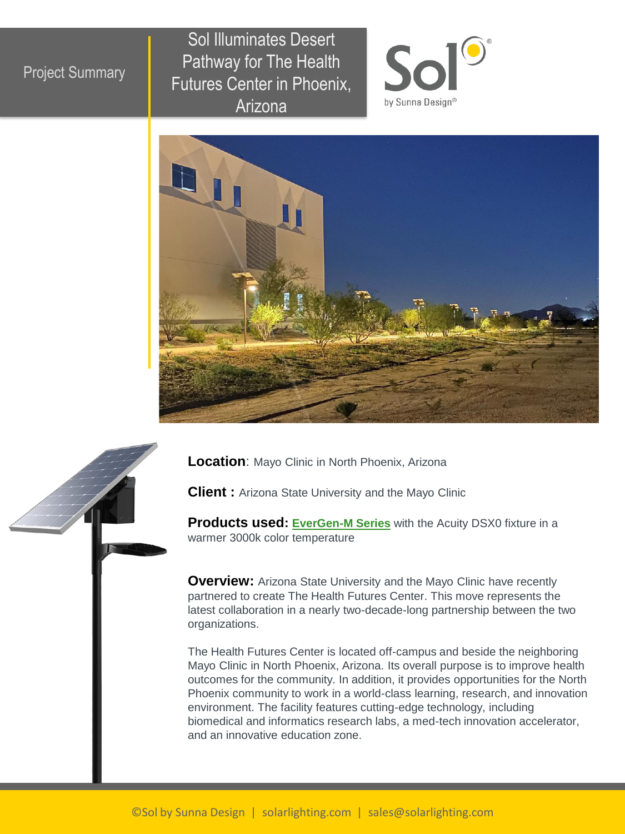## Project Summary

Sol Illuminates Desert Pathway for The Health Futures Center in Phoenix, Arizona







**Location**: Mayo Clinic in North Phoenix, Arizona

**Client :** Arizona State University and the Mayo Clinic

**Products used: [EverGen-M Series](https://solarlighting.com/product/evergen-m-series/)** with the Acuity DSX0 fixture in a warmer 3000k color temperature

**Overview:** Arizona State University and the Mayo Clinic have recently partnered to create The Health Futures Center. This move represents the latest collaboration in a nearly two-decade-long partnership between the two organizations.

The Health Futures Center is located off-campus and beside the neighboring Mayo Clinic in North Phoenix, Arizona. Its overall purpose is to improve health outcomes for the community. In addition, it provides opportunities for the North Phoenix community to work in a world-class learning, research, and innovation environment. The facility features cutting-edge technology, including biomedical and informatics research labs, a med-tech innovation accelerator, and an innovative education zone.